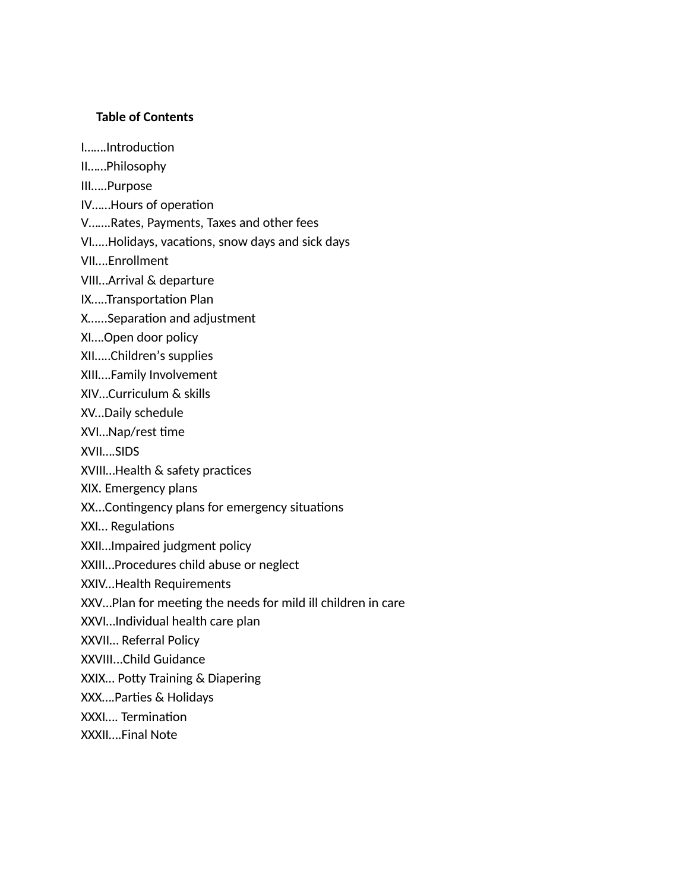#### **Table of Contents**

I…….Introduction

- II……Philosophy
- III…..Purpose
- IV......Hours of operation
- V…….Rates, Payments, Taxes and other fees
- VI.....Holidays, vacations, snow days and sick days
- VII….Enrollment
- VIII…Arrival & departure
- IX.....Transportation Plan
- X......Separation and adjustment
- XI….Open door policy
- XII…..Children's supplies
- XIII….Family Involvement
- XIV…Curriculum & skills
- XV...Daily schedule
- XVI...Nap/rest time
- XVII….SIDS
- XVIII... Health & safety practices
- XIX. Emergency plans
- XX...Contingency plans for emergency situations
- XXI... Regulations
- XXII…Impaired judgment policy
- XXIII…Procedures child abuse or neglect
- XXIV...Health Requirements
- XXV...Plan for meeting the needs for mild ill children in care
- XXVI…Individual health care plan
- XXVII… Referral Policy
- XXVIII...Child Guidance
- XXIX... Potty Training & Diapering
- XXX....Parties & Holidays
- XXXI.... Termination
- XXXII….Final Note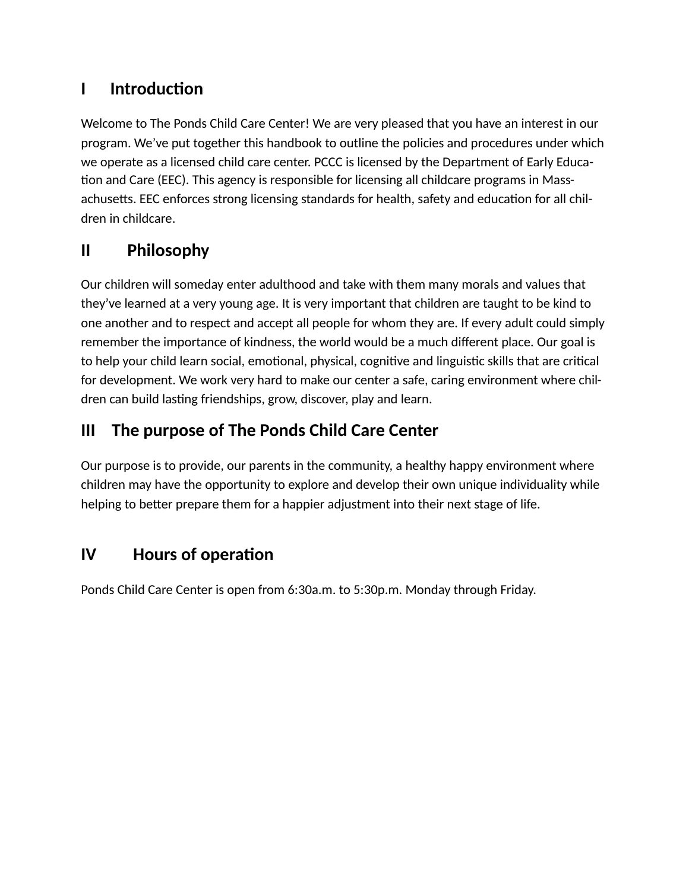# **I** Introduction

Welcome to The Ponds Child Care Center! We are very pleased that you have an interest in our program. We've put together this handbook to outline the policies and procedures under which we operate as a licensed child care center. PCCC is licensed by the Department of Early Educa tion and Care (EEC). This agency is responsible for licensing all childcare programs in Massachusetts. EEC enforces strong licensing standards for health, safety and education for all children in childcare.

# **II Philosophy**

Our children will someday enter adulthood and take with them many morals and values that they've learned at a very young age. It is very important that children are taught to be kind to one another and to respect and accept all people for whom they are. If every adult could simply remember the importance of kindness, the world would be a much different place. Our goal is to help your child learn social, emotional, physical, cognitive and linguistic skills that are critical for development. We work very hard to make our center a safe, caring environment where children can build lasting friendships, grow, discover, play and learn.

# **III The purpose of The Ponds Child Care Center**

Our purpose is to provide, our parents in the community, a healthy happy environment where children may have the opportunity to explore and develop their own unique individuality while helping to better prepare them for a happier adjustment into their next stage of life.

# **IV** Hours of operation

Ponds Child Care Center is open from 6:30a.m. to 5:30p.m. Monday through Friday.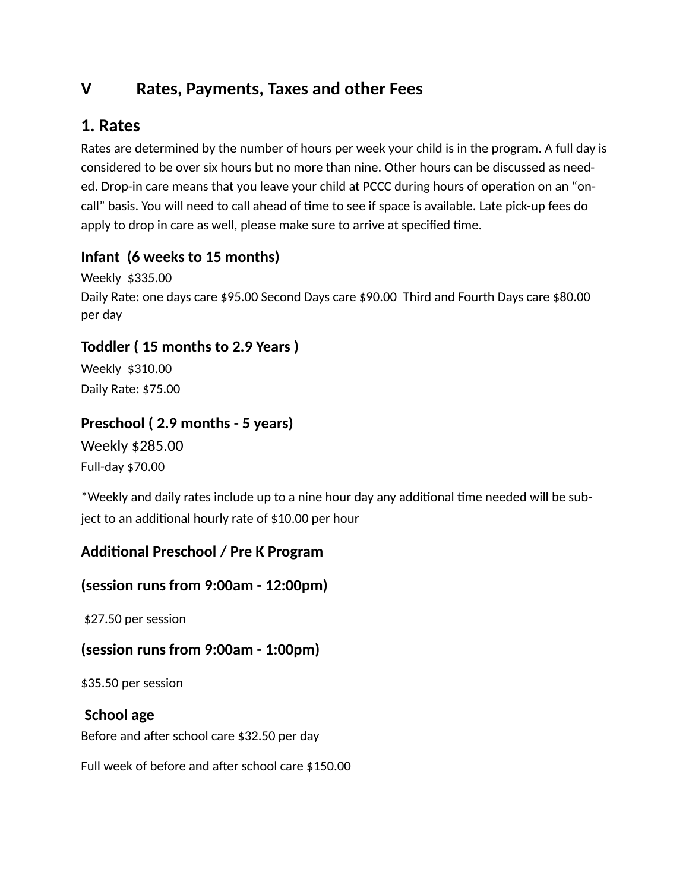## **V Rates, Payments, Taxes and other Fees**

## **1. Rates**

Rates are determined by the number of hours per week your child is in the program. A full day is considered to be over six hours but no more than nine. Other hours can be discussed as needed. Drop-in care means that you leave your child at PCCC during hours of operation on an "oncall" basis. You will need to call ahead of time to see if space is available. Late pick-up fees do apply to drop in care as well, please make sure to arrive at specified time.

## **Infant (6 weeks to 15 months)**

Weekly \$335.00 Daily Rate: one days care \$95.00 Second Days care \$90.00 Third and Fourth Days care \$80.00 per day

## **Toddler ( 15 months to 2.9 Years )**

Weekly \$310.00 Daily Rate: \$75.00

## **Preschool ( 2.9 months - 5 years)**

Weekly \$285.00 Full-day \$70.00

\*Weekly and daily rates include up to a nine hour day any additional time needed will be subject to an additional hourly rate of \$10.00 per hour

## Additional Preschool / Pre K Program

### **(session runs from 9:00am - 12:00pm)**

\$27.50 per session

### **(session runs from 9:00am - 1:00pm)**

\$35.50 per session

### **School age**

Before and after school care \$32.50 per day

Full week of before and after school care \$150.00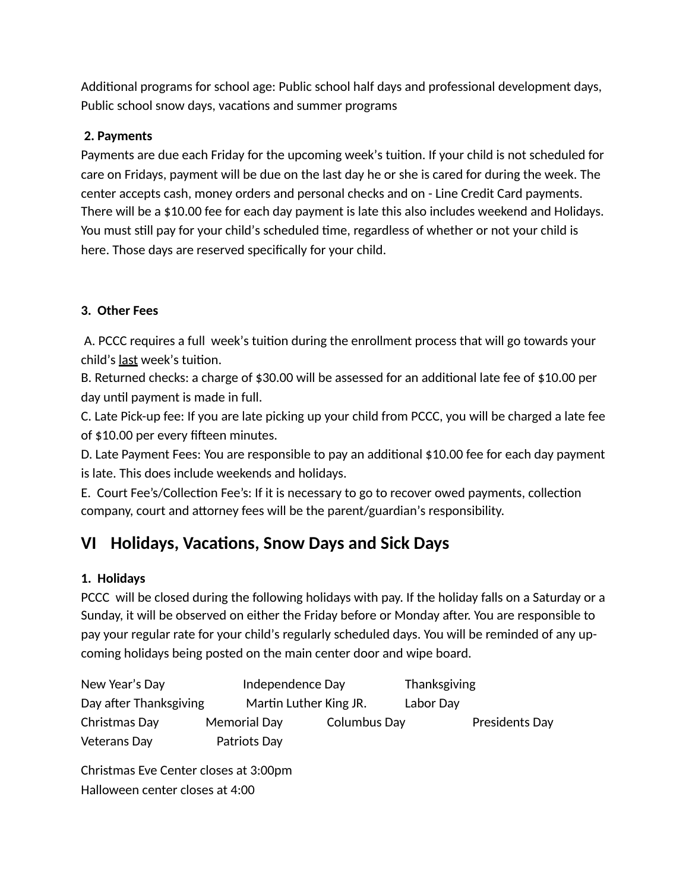Additional programs for school age: Public school half days and professional development days, Public school snow days, vacations and summer programs

#### **2. Payments**

Payments are due each Friday for the upcoming week's tuition. If your child is not scheduled for care on Fridays, payment will be due on the last day he or she is cared for during the week. The center accepts cash, money orders and personal checks and on - Line Credit Card payments. There will be a \$10.00 fee for each day payment is late this also includes weekend and Holidays. You must still pay for your child's scheduled time, regardless of whether or not your child is here. Those days are reserved specifically for your child.

#### **3. Other Fees**

A. PCCC requires a full week's tuition during the enrollment process that will go towards your child's last week's tuition.

B. Returned checks: a charge of  $$30.00$  will be assessed for an additional late fee of  $$10.00$  per day until payment is made in full.

C. Late Pick-up fee: If you are late picking up your child from PCCC, you will be charged a late fee of \$10.00 per every fifteen minutes.

D. Late Payment Fees: You are responsible to pay an additional \$10.00 fee for each day payment is late. This does include weekends and holidays.

E. Court Fee's/Collection Fee's: If it is necessary to go to recover owed payments, collection company, court and attorney fees will be the parent/guardian's responsibility.

# **VI** Holidays, Vacations, Snow Days and Sick Days

### **1. Holidays**

PCCC will be closed during the following holidays with pay. If the holiday falls on a Saturday or a Sunday, it will be observed on either the Friday before or Monday after. You are responsible to pay your regular rate for your child's regularly scheduled days. You will be reminded of any upcoming holidays being posted on the main center door and wipe board.

| New Year's Day         | Independence Day       |              | Thanksgiving |                |
|------------------------|------------------------|--------------|--------------|----------------|
| Day after Thanksgiving | Martin Luther King JR. |              | Labor Day    |                |
| Christmas Day          | Memorial Day           | Columbus Day |              | Presidents Day |
| <b>Veterans Day</b>    | Patriots Day           |              |              |                |

Christmas Eve Center closes at 3:00pm Halloween center closes at 4:00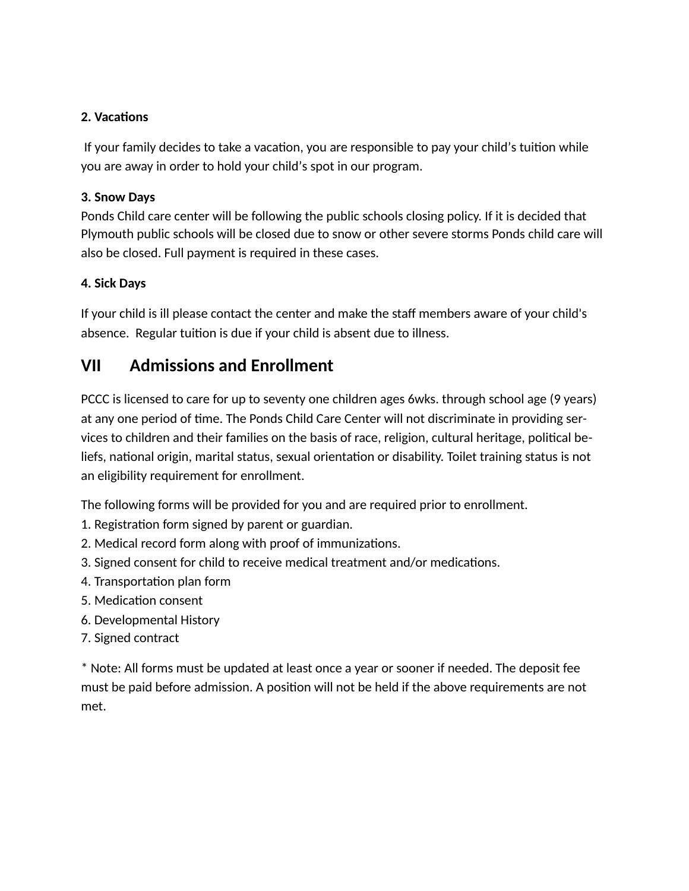#### **2. Vacations**

If your family decides to take a vacation, you are responsible to pay your child's tuition while you are away in order to hold your child's spot in our program.

#### **3. Snow Days**

Ponds Child care center will be following the public schools closing policy. If it is decided that Plymouth public schools will be closed due to snow or other severe storms Ponds child care will also be closed. Full payment is required in these cases.

#### **4. Sick Days**

If your child is ill please contact the center and make the staff members aware of your child's absence. Regular tuition is due if your child is absent due to illness.

## **VII Admissions and Enrollment**

PCCC is licensed to care for up to seventy one children ages 6wks. through school age (9 years) at any one period of time. The Ponds Child Care Center will not discriminate in providing services to children and their families on the basis of race, religion, cultural heritage, political beliefs, national origin, marital status, sexual orientation or disability. Toilet training status is not an eligibility requirement for enrollment.

The following forms will be provided for you and are required prior to enrollment.

- 1. Registration form signed by parent or guardian.
- 2. Medical record form along with proof of immunizations.
- 3. Signed consent for child to receive medical treatment and/or medications.
- 4. Transportation plan form
- 5. Medication consent
- 6. Developmental History
- 7. Signed contract

\* Note: All forms must be updated at least once a year or sooner if needed. The deposit fee must be paid before admission. A position will not be held if the above requirements are not met.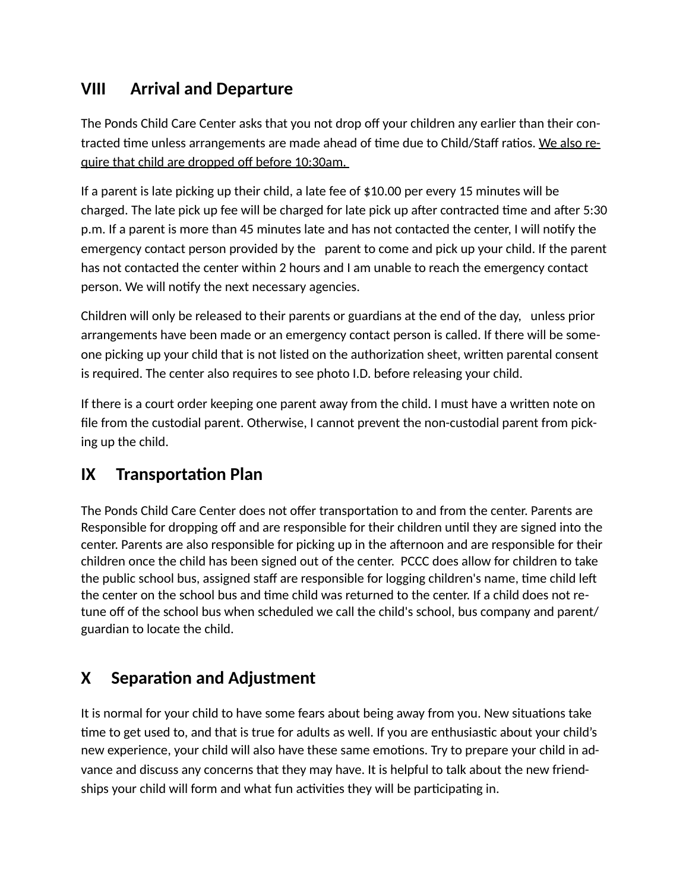## **VIII Arrival and Departure**

The Ponds Child Care Center asks that you not drop off your children any earlier than their contracted time unless arrangements are made ahead of time due to Child/Staff ratios. We also require that child are dropped off before 10:30am.

If a parent is late picking up their child, a late fee of \$10.00 per every 15 minutes will be charged. The late pick up fee will be charged for late pick up after contracted time and after 5:30 p.m. If a parent is more than 45 minutes late and has not contacted the center, I will notify the emergency contact person provided by the parent to come and pick up your child. If the parent has not contacted the center within 2 hours and I am unable to reach the emergency contact person. We will notify the next necessary agencies.

Children will only be released to their parents or guardians at the end of the day, unless prior arrangements have been made or an emergency contact person is called. If there will be someone picking up your child that is not listed on the authorization sheet, written parental consent is required. The center also requires to see photo I.D. before releasing your child.

If there is a court order keeping one parent away from the child. I must have a written note on file from the custodial parent. Otherwise, I cannot prevent the non-custodial parent from picking up the child.

# **IX Transportation Plan**

The Ponds Child Care Center does not offer transportation to and from the center. Parents are Responsible for dropping off and are responsible for their children until they are signed into the center. Parents are also responsible for picking up in the afternoon and are responsible for their children once the child has been signed out of the center. PCCC does allow for children to take the public school bus, assigned staff are responsible for logging children's name, time child left the center on the school bus and time child was returned to the center. If a child does not retune off of the school bus when scheduled we call the child's school, bus company and parent/ guardian to locate the child.

# **X** Separation and Adjustment

It is normal for your child to have some fears about being away from you. New situations take time to get used to, and that is true for adults as well. If you are enthusiastic about your child's new experience, your child will also have these same emotions. Try to prepare your child in advance and discuss any concerns that they may have. It is helpful to talk about the new friendships your child will form and what fun activities they will be participating in.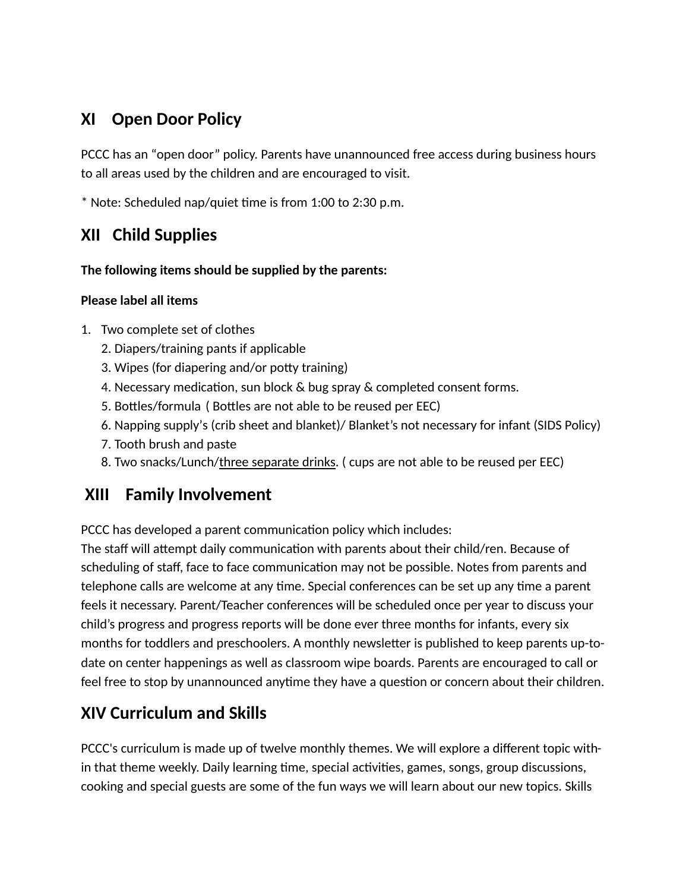## **XI Open Door Policy**

PCCC has an "open door" policy. Parents have unannounced free access during business hours to all areas used by the children and are encouraged to visit.

 $*$  Note: Scheduled nap/quiet time is from 1:00 to 2:30 p.m.

## **XII Child Supplies**

#### **The following items should be supplied by the parents:**

### **Please label all items**

- 1. Two complete set of clothes
	- 2. Diapers/training pants if applicable
	- 3. Wipes (for diapering and/or potty training)
	- 4. Necessary medication, sun block & bug spray & completed consent forms.
	- 5. Bottles/formula ( Bottles are not able to be reused per EEC)
	- 6. Napping supply's (crib sheet and blanket)/ Blanket's not necessary for infant (SIDS Policy)
	- 7. Tooth brush and paste
	- 8. Two snacks/Lunch/three separate drinks. ( cups are not able to be reused per EEC)

## **XIII Family Involvement**

PCCC has developed a parent communication policy which includes:

The staff will attempt daily communication with parents about their child/ren. Because of scheduling of staff, face to face communication may not be possible. Notes from parents and telephone calls are welcome at any time. Special conferences can be set up any time a parent feels it necessary. Parent/Teacher conferences will be scheduled once per year to discuss your child's progress and progress reports will be done ever three months for infants, every six months for toddlers and preschoolers. A monthly newsletter is published to keep parents up-todate on center happenings as well as classroom wipe boards. Parents are encouraged to call or feel free to stop by unannounced anytime they have a question or concern about their children.

## **XIV Curriculum and Skills**

PCCC's curriculum is made up of twelve monthly themes. We will explore a different topic within that theme weekly. Daily learning time, special activities, games, songs, group discussions, cooking and special guests are some of the fun ways we will learn about our new topics. Skills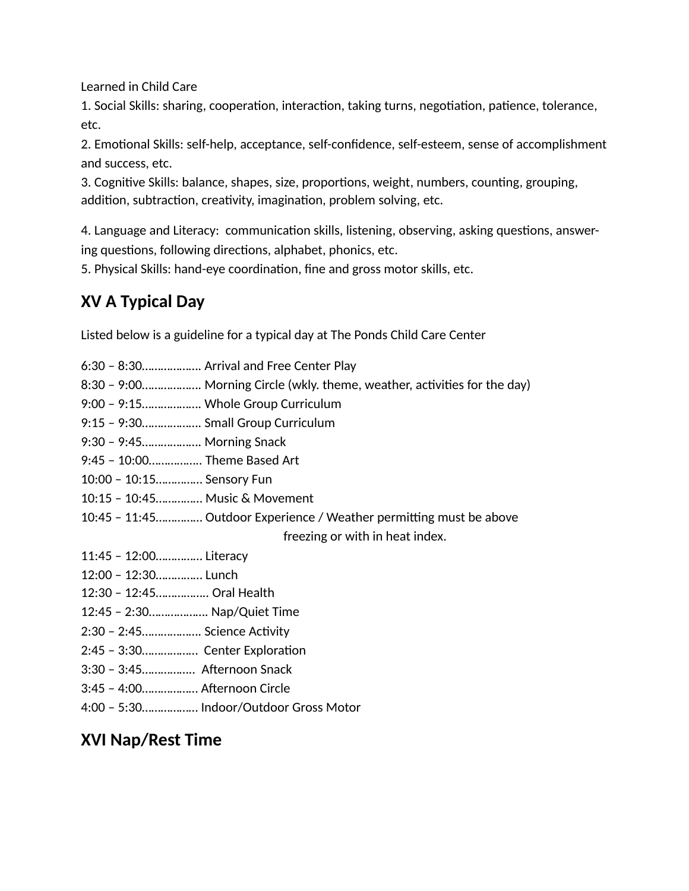Learned in Child Care

1. Social Skills: sharing, cooperation, interaction, taking turns, negotiation, patience, tolerance, etc.

2. Emotional Skills: self-help, acceptance, self-confidence, self-esteem, sense of accomplishment and success, etc.

3. Cognitive Skills: balance, shapes, size, proportions, weight, numbers, counting, grouping, addition, subtraction, creativity, imagination, problem solving, etc.

4. Language and Literacy: communication skills, listening, observing, asking questions, answering questions, following directions, alphabet, phonics, etc.

5. Physical Skills: hand-eye coordination, fine and gross motor skills, etc.

# **XV A Typical Day**

Listed below is a guideline for a typical day at The Ponds Child Care Center

| 6:30 - 8:30 Arrival and Free Center Play                                  |
|---------------------------------------------------------------------------|
| 8:30 - 9:00 Morning Circle (wkly. theme, weather, activities for the day) |
| 9:00 - 9:15 Whole Group Curriculum                                        |
| 9:15 - 9:30 Small Group Curriculum                                        |
| 9:30 - 9:45 Morning Snack                                                 |
| 9:45 - 10:00 Theme Based Art                                              |
| 10:00 - 10:15 Sensory Fun                                                 |
| 10:15 - 10:45 Music & Movement                                            |
| 10:45 - 11:45 Outdoor Experience / Weather permitting must be above       |
| freezing or with in heat index.                                           |
| 11:45 - 12:00 Literacy                                                    |
| 12:00 - 12:30 Lunch                                                       |
| 12:30 - 12:45 Oral Health                                                 |
| 12:45 - 2:30 Nap/Quiet Time                                               |
| 2:30 - 2:45 Science Activity                                              |
| 2:45 - 3:30 Center Exploration                                            |
| 3:30 - 3:45 Afternoon Snack                                               |
| 3:45 - 4:00 Afternoon Circle                                              |
| 4:00 - 5:30 Indoor/Outdoor Gross Motor                                    |

## **XVI Nap/Rest Time**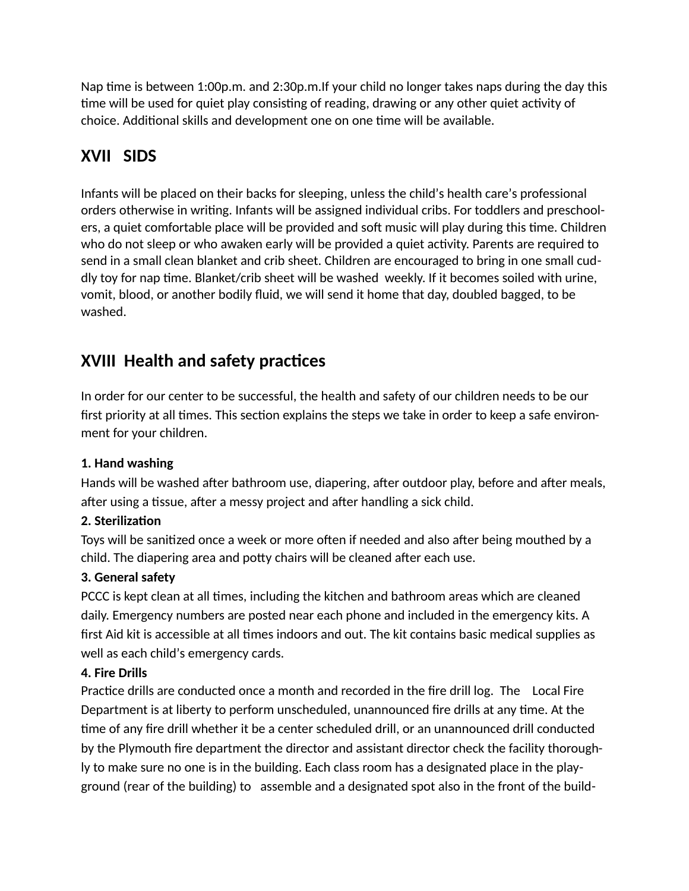Nap time is between 1:00p.m. and 2:30p.m.If your child no longer takes naps during the day this time will be used for quiet play consisting of reading, drawing or any other quiet activity of choice. Additional skills and development one on one time will be available.

# **XVII SIDS**

Infants will be placed on their backs for sleeping, unless the child's health care's professional orders otherwise in writing. Infants will be assigned individual cribs. For toddlers and preschoolers, a quiet comfortable place will be provided and soft music will play during this time. Children who do not sleep or who awaken early will be provided a quiet activity. Parents are required to send in a small clean blanket and crib sheet. Children are encouraged to bring in one small cuddly toy for nap time. Blanket/crib sheet will be washed weekly. If it becomes soiled with urine, vomit, blood, or another bodily fluid, we will send it home that day, doubled bagged, to be washed.

# **XVIII Health and safety practices**

In order for our center to be successful, the health and safety of our children needs to be our first priority at all times. This section explains the steps we take in order to keep a safe environment for your children.

### **1. Hand washing**

Hands will be washed after bathroom use, diapering, after outdoor play, before and after meals, after using a tissue, after a messy project and after handling a sick child.

### **2. Sterilization**

Toys will be sanitized once a week or more often if needed and also after being mouthed by a child. The diapering area and potty chairs will be cleaned after each use.

### **3. General safety**

PCCC is kept clean at all times, including the kitchen and bathroom areas which are cleaned daily. Emergency numbers are posted near each phone and included in the emergency kits. A first Aid kit is accessible at all times indoors and out. The kit contains basic medical supplies as well as each child's emergency cards.

### **4. Fire Drills**

Practice drills are conducted once a month and recorded in the fire drill log. The Local Fire Department is at liberty to perform unscheduled, unannounced fire drills at any time. At the time of any fire drill whether it be a center scheduled drill, or an unannounced drill conducted by the Plymouth fire department the director and assistant director check the facility thoroughly to make sure no one is in the building. Each class room has a designated place in the playground (rear of the building) to assemble and a designated spot also in the front of the build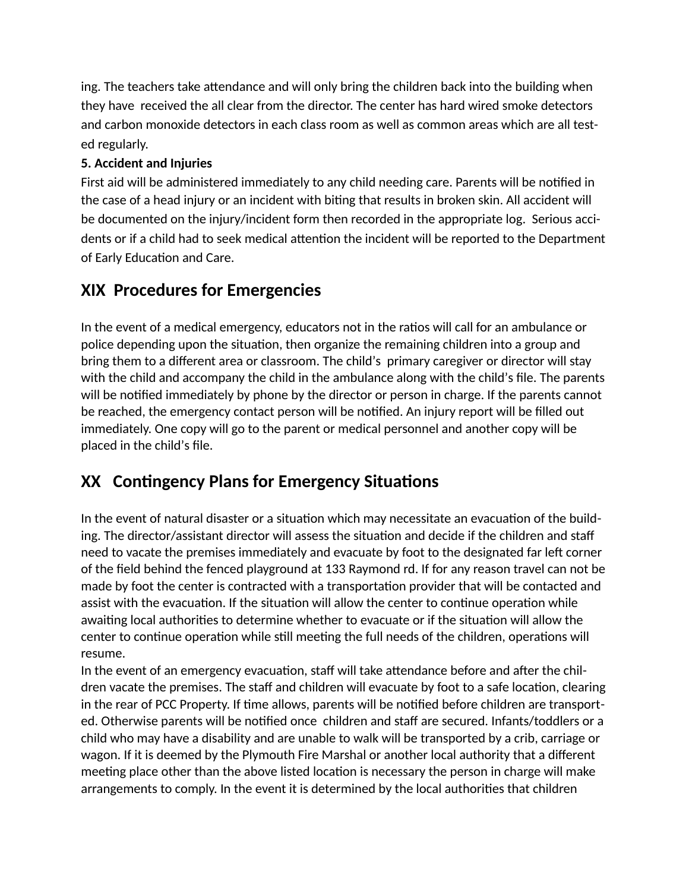ing. The teachers take attendance and will only bring the children back into the building when they have received the all clear from the director. The center has hard wired smoke detectors and carbon monoxide detectors in each class room as well as common areas which are all tested regularly.

### **5. Accident and Injuries**

First aid will be administered immediately to any child needing care. Parents will be notified in the case of a head injury or an incident with biting that results in broken skin. All accident will be documented on the injury/incident form then recorded in the appropriate log. Serious accidents or if a child had to seek medical attention the incident will be reported to the Department of Early Education and Care.

## **XIX Procedures for Emergencies**

In the event of a medical emergency, educators not in the ratios will call for an ambulance or police depending upon the situation, then organize the remaining children into a group and bring them to a different area or classroom. The child's primary caregiver or director will stay with the child and accompany the child in the ambulance along with the child's file. The parents will be notified immediately by phone by the director or person in charge. If the parents cannot be reached, the emergency contact person will be notified. An injury report will be filled out immediately. One copy will go to the parent or medical personnel and another copy will be placed in the child's file.

# **XX Contingency Plans for Emergency Situations**

In the event of natural disaster or a situation which may necessitate an evacuation of the building. The director/assistant director will assess the situation and decide if the children and staff need to vacate the premises immediately and evacuate by foot to the designated far left corner of the field behind the fenced playground at 133 Raymond rd. If for any reason travel can not be made by foot the center is contracted with a transportation provider that will be contacted and assist with the evacuation. If the situation will allow the center to continue operation while awaiting local authorities to determine whether to evacuate or if the situation will allow the center to continue operation while still meeting the full needs of the children, operations will resume.

In the event of an emergency evacuation, staff will take attendance before and after the children vacate the premises. The staff and children will evacuate by foot to a safe location, clearing in the rear of PCC Property. If time allows, parents will be notified before children are transported. Otherwise parents will be notified once children and staff are secured. Infants/toddlers or a child who may have a disability and are unable to walk will be transported by a crib, carriage or wagon. If it is deemed by the Plymouth Fire Marshal or another local authority that a different meeting place other than the above listed location is necessary the person in charge will make arrangements to comply. In the event it is determined by the local authorities that children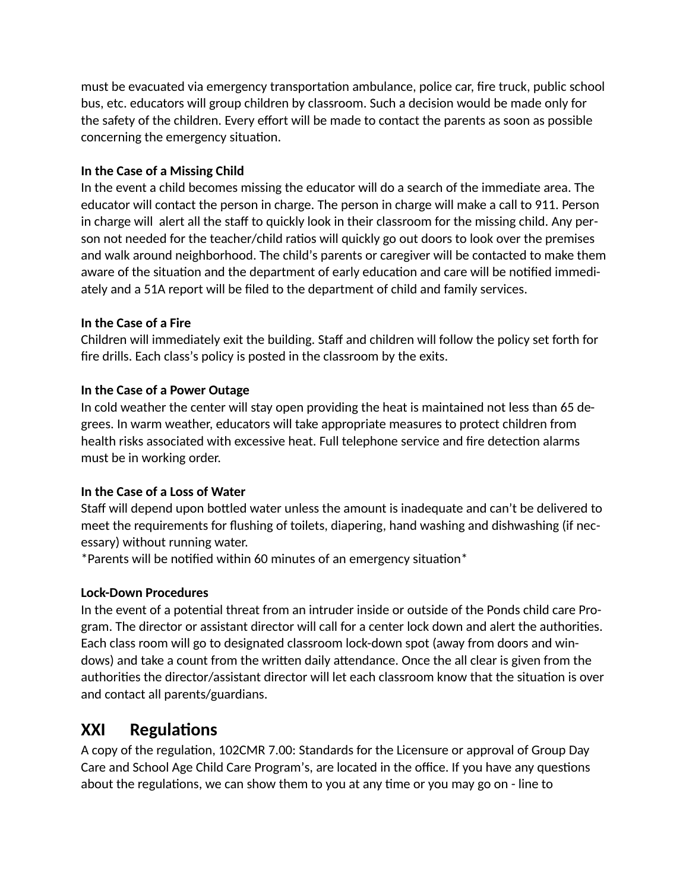must be evacuated via emergency transportation ambulance, police car, fire truck, public school bus, etc. educators will group children by classroom. Such a decision would be made only for the safety of the children. Every effort will be made to contact the parents as soon as possible concerning the emergency situation.

#### **In the Case of a Missing Child**

In the event a child becomes missing the educator will do a search of the immediate area. The educator will contact the person in charge. The person in charge will make a call to 911. Person in charge will alert all the staff to quickly look in their classroom for the missing child. Any person not needed for the teacher/child ratios will quickly go out doors to look over the premises and walk around neighborhood. The child's parents or caregiver will be contacted to make them aware of the situation and the department of early education and care will be notified immediately and a 51A report will be filed to the department of child and family services.

#### **In the Case of a Fire**

Children will immediately exit the building. Staff and children will follow the policy set forth for fire drills. Each class's policy is posted in the classroom by the exits.

#### **In the Case of a Power Outage**

In cold weather the center will stay open providing the heat is maintained not less than 65 degrees. In warm weather, educators will take appropriate measures to protect children from health risks associated with excessive heat. Full telephone service and fire detection alarms must be in working order.

### **In the Case of a Loss of Water**

Staff will depend upon bottled water unless the amount is inadequate and can't be delivered to meet the requirements for flushing of toilets, diapering, hand washing and dishwashing (if necessary) without running water.

 $*$ Parents will be notified within 60 minutes of an emergency situation $*$ 

### **Lock-Down Procedures**

In the event of a potential threat from an intruder inside or outside of the Ponds child care Program. The director or assistant director will call for a center lock down and alert the authorities. Each class room will go to designated classroom lock-down spot (away from doors and windows) and take a count from the written daily attendance. Once the all clear is given from the authorities the director/assistant director will let each classroom know that the situation is over and contact all parents/guardians.

## **XXI** Regulations

A copy of the regulation, 102CMR 7.00: Standards for the Licensure or approval of Group Day Care and School Age Child Care Program's, are located in the office. If you have any questions about the regulations, we can show them to you at any time or you may go on - line to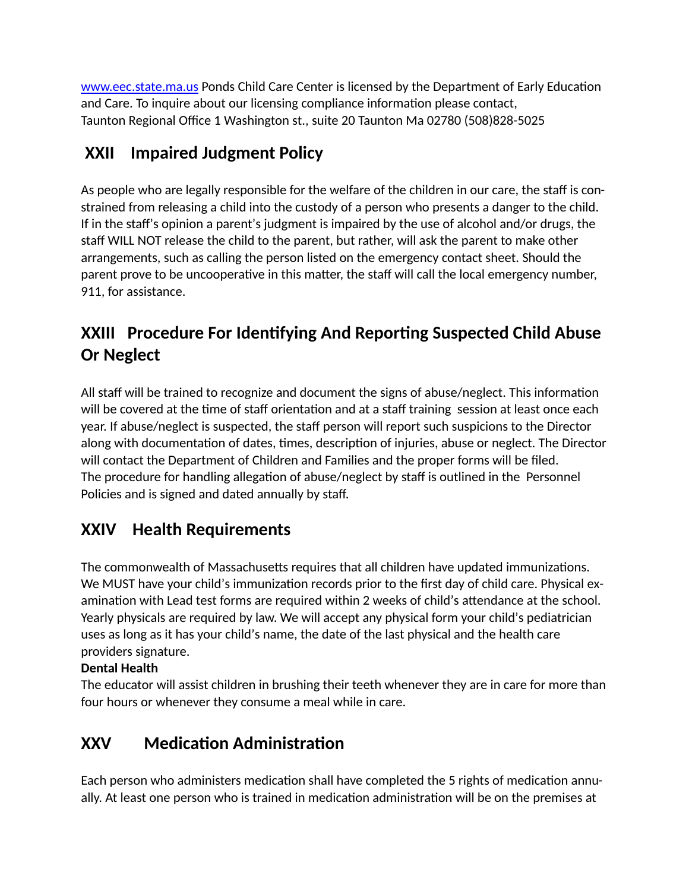[www.eec.state.ma.us](http://www.eec.state.ma.us) Ponds Child Care Center is licensed by the Department of Early Education and Care. To inquire about our licensing compliance information please contact, Taunton Regional Office 1 Washington st., suite 20 Taunton Ma 02780 (508)828-5025

# **XXII Impaired Judgment Policy**

As people who are legally responsible for the welfare of the children in our care, the staff is constrained from releasing a child into the custody of a person who presents a danger to the child. If in the staff's opinion a parent's judgment is impaired by the use of alcohol and/or drugs, the staff WILL NOT release the child to the parent, but rather, will ask the parent to make other arrangements, such as calling the person listed on the emergency contact sheet. Should the parent prove to be uncooperative in this matter, the staff will call the local emergency number, 911, for assistance.

# **XXIII Procedure For Iden2fying And Repor2ng Suspected Child Abuse Or Neglect**

All staff will be trained to recognize and document the signs of abuse/neglect. This information will be covered at the time of staff orientation and at a staff training session at least once each year. If abuse/neglect is suspected, the staff person will report such suspicions to the Director along with documentation of dates, times, description of injuries, abuse or neglect. The Director will contact the Department of Children and Families and the proper forms will be filed. The procedure for handling allegation of abuse/neglect by staff is outlined in the Personnel Policies and is signed and dated annually by staff.

# **XXIV Health Requirements**

The commonwealth of Massachusetts requires that all children have updated immunizations. We MUST have your child's immunization records prior to the first day of child care. Physical examination with Lead test forms are required within 2 weeks of child's attendance at the school. Yearly physicals are required by law. We will accept any physical form your child's pediatrician uses as long as it has your child's name, the date of the last physical and the health care providers signature.

### **Dental Health**

The educator will assist children in brushing their teeth whenever they are in care for more than four hours or whenever they consume a meal while in care.

# **XXV** Medication Administration

Each person who administers medication shall have completed the 5 rights of medication annually. At least one person who is trained in medication administration will be on the premises at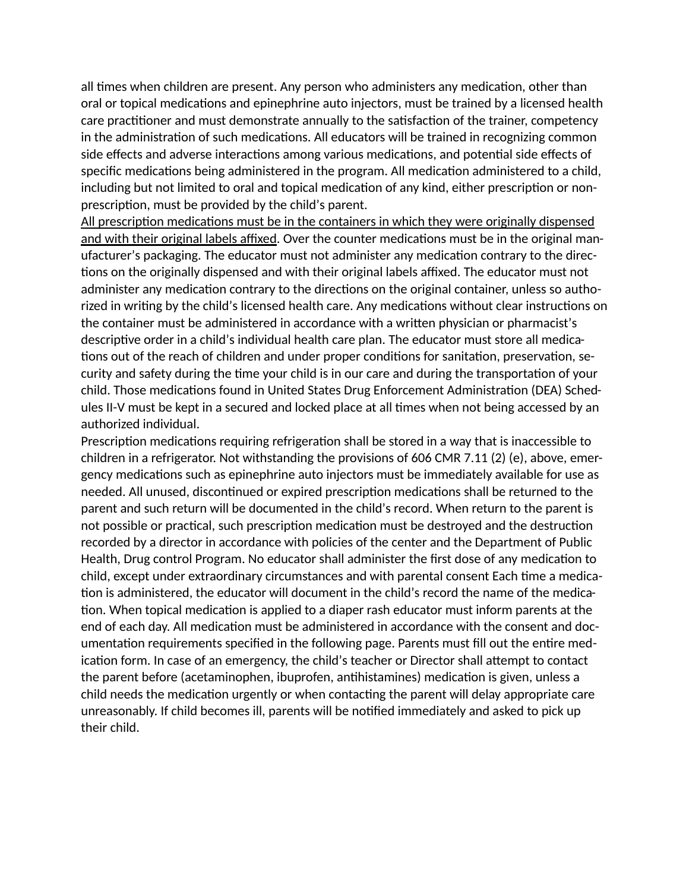all times when children are present. Any person who administers any medication, other than oral or topical medications and epinephrine auto injectors, must be trained by a licensed health care practitioner and must demonstrate annually to the satisfaction of the trainer, competency in the administration of such medications. All educators will be trained in recognizing common side effects and adverse interactions among various medications, and potential side effects of specific medications being administered in the program. All medication administered to a child, including but not limited to oral and topical medication of any kind, either prescription or nonprescription, must be provided by the child's parent.

All prescription medications must be in the containers in which they were originally dispensed and with their original labels affixed. Over the counter medications must be in the original manufacturer's packaging. The educator must not administer any medication contrary to the directions on the originally dispensed and with their original labels affixed. The educator must not administer any medication contrary to the directions on the original container, unless so authorized in writing by the child's licensed health care. Any medications without clear instructions on the container must be administered in accordance with a written physician or pharmacist's descriptive order in a child's individual health care plan. The educator must store all medications out of the reach of children and under proper conditions for sanitation, preservation, security and safety during the time your child is in our care and during the transportation of your child. Those medications found in United States Drug Enforcement Administration (DEA) Schedules II-V must be kept in a secured and locked place at all times when not being accessed by an authorized individual.

Prescription medications requiring refrigeration shall be stored in a way that is inaccessible to children in a refrigerator. Not withstanding the provisions of 606 CMR 7.11 (2) (e), above, emergency medications such as epinephrine auto injectors must be immediately available for use as needed. All unused, discontinued or expired prescription medications shall be returned to the parent and such return will be documented in the child's record. When return to the parent is not possible or practical, such prescription medication must be destroyed and the destruction recorded by a director in accordance with policies of the center and the Department of Public Health, Drug control Program. No educator shall administer the first dose of any medication to child, except under extraordinary circumstances and with parental consent Each time a medication is administered, the educator will document in the child's record the name of the medication. When topical medication is applied to a diaper rash educator must inform parents at the end of each day. All medication must be administered in accordance with the consent and documentation requirements specified in the following page. Parents must fill out the entire medication form. In case of an emergency, the child's teacher or Director shall attempt to contact the parent before (acetaminophen, ibuprofen, antihistamines) medication is given, unless a child needs the medication urgently or when contacting the parent will delay appropriate care unreasonably. If child becomes ill, parents will be notified immediately and asked to pick up their child.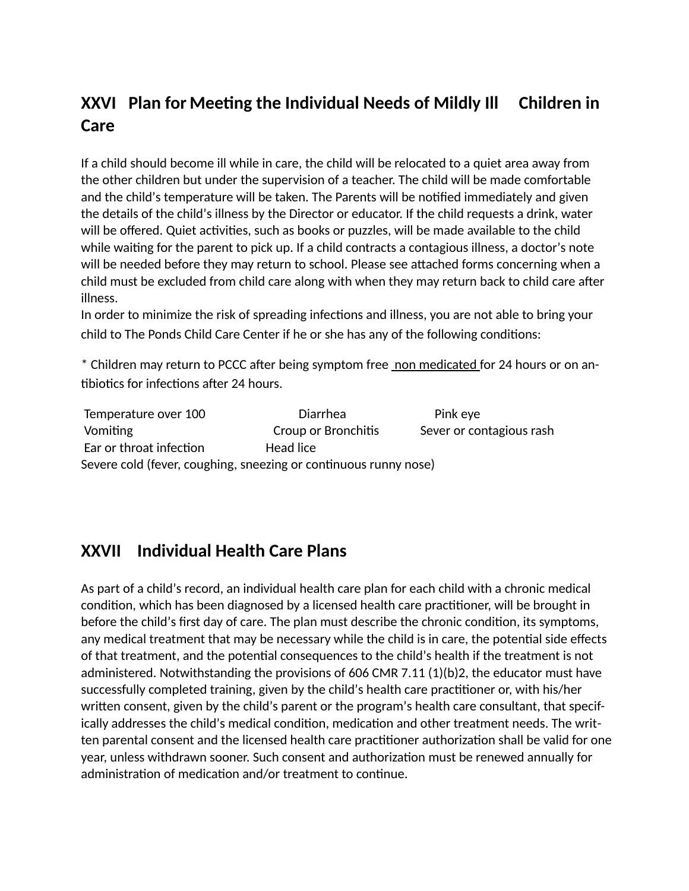# **XXVI** Plan for Meeting the Individual Needs of Mildly Ill Children in **Care**

If a child should become ill while in care, the child will be relocated to a quiet area away from the other children but under the supervision of a teacher. The child will be made comfortable and the child's temperature will be taken. The Parents will be notified immediately and given the details of the child's illness by the Director or educator. If the child requests a drink, water will be offered. Quiet activities, such as books or puzzles, will be made available to the child while waiting for the parent to pick up. If a child contracts a contagious illness, a doctor's note will be needed before they may return to school. Please see attached forms concerning when a child must be excluded from child care along with when they may return back to child care after illness.

In order to minimize the risk of spreading infections and illness, you are not able to bring your child to The Ponds Child Care Center if he or she has any of the following conditions:

\* Children may return to PCCC after being symptom free non medicated for 24 hours or on antibiotics for infections after 24 hours.

Temperature over 100 Diarrhea Pink eye Vomiting Croup or Bronchitis Sever or contagious rash Ear or throat infection **Head lice** Severe cold (fever, coughing, sneezing or continuous runny nose)

## **XXVII Individual Health Care Plans**

As part of a child's record, an individual health care plan for each child with a chronic medical condition, which has been diagnosed by a licensed health care practitioner, will be brought in before the child's first day of care. The plan must describe the chronic condition, its symptoms, any medical treatment that may be necessary while the child is in care, the potential side effects of that treatment, and the potential consequences to the child's health if the treatment is not administered. Notwithstanding the provisions of 606 CMR 7.11 (1)(b)2, the educator must have successfully completed training, given by the child's health care practitioner or, with his/her written consent, given by the child's parent or the program's health care consultant, that specifically addresses the child's medical condition, medication and other treatment needs. The written parental consent and the licensed health care practitioner authorization shall be valid for one year, unless withdrawn sooner. Such consent and authorization must be renewed annually for administration of medication and/or treatment to continue.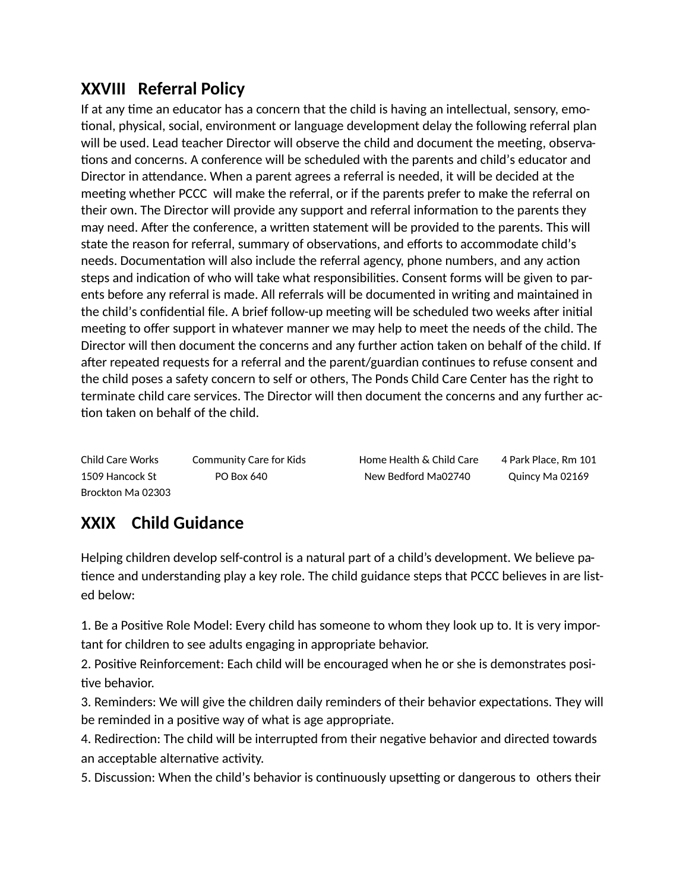# **XXVIII Referral Policy**

If at any time an educator has a concern that the child is having an intellectual, sensory, emotional, physical, social, environment or language development delay the following referral plan will be used. Lead teacher Director will observe the child and document the meeting, observations and concerns. A conference will be scheduled with the parents and child's educator and Director in attendance. When a parent agrees a referral is needed, it will be decided at the meeting whether PCCC will make the referral, or if the parents prefer to make the referral on their own. The Director will provide any support and referral information to the parents they may need. After the conference, a written statement will be provided to the parents. This will state the reason for referral, summary of observations, and efforts to accommodate child's needs. Documentation will also include the referral agency, phone numbers, and any action steps and indication of who will take what responsibilities. Consent forms will be given to parents before any referral is made. All referrals will be documented in writing and maintained in the child's confidential file. A brief follow-up meeting will be scheduled two weeks after initial meeting to offer support in whatever manner we may help to meet the needs of the child. The Director will then document the concerns and any further action taken on behalf of the child. If after repeated requests for a referral and the parent/guardian continues to refuse consent and the child poses a safety concern to self or others, The Ponds Child Care Center has the right to terminate child care services. The Director will then document the concerns and any further ac tion taken on behalf of the child.

| Child Care Works  | Community Care for Kids | Home Health & Child Care | 4 Park Place. Rm 101 |
|-------------------|-------------------------|--------------------------|----------------------|
| 1509 Hancock St   | PO Box 640              | New Bedford Ma02740      | Quincy Ma 02169      |
| Brockton Ma 02303 |                         |                          |                      |

# **XXIX Child Guidance**

Helping children develop self-control is a natural part of a child's development. We believe pa tience and understanding play a key role. The child guidance steps that PCCC believes in are listed below:

1. Be a Positive Role Model: Every child has someone to whom they look up to. It is very important for children to see adults engaging in appropriate behavior.

2. Positive Reinforcement: Each child will be encouraged when he or she is demonstrates positive behavior.

3. Reminders: We will give the children daily reminders of their behavior expectations. They will be reminded in a positive way of what is age appropriate.

4. Redirection: The child will be interrupted from their negative behavior and directed towards an acceptable alternative activity.

5. Discussion: When the child's behavior is continuously upsetting or dangerous to others their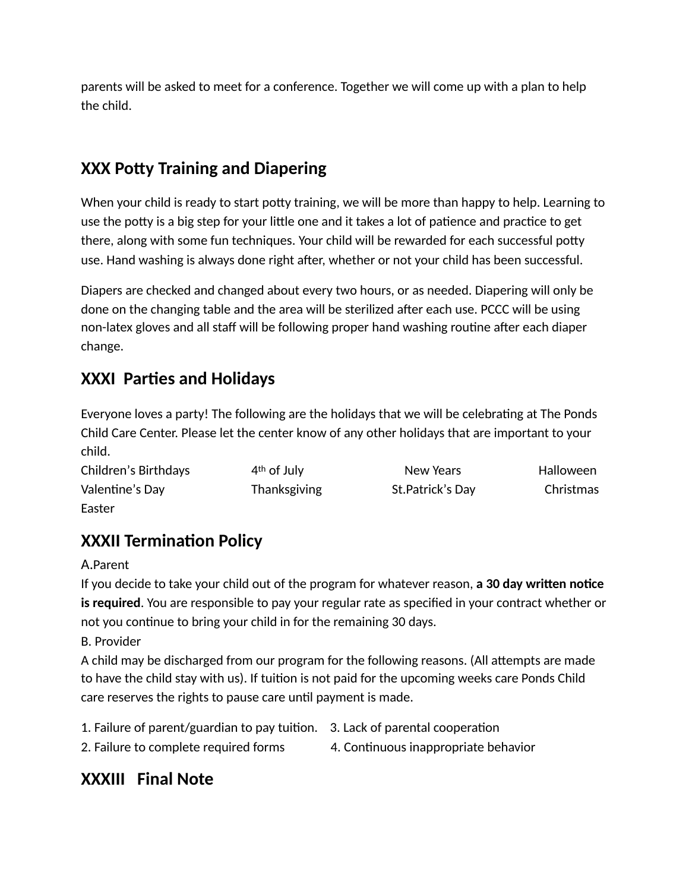parents will be asked to meet for a conference. Together we will come up with a plan to help the child.

# **XXX Potty Training and Diapering**

When your child is ready to start potty training, we will be more than happy to help. Learning to use the potty is a big step for your little one and it takes a lot of patience and practice to get there, along with some fun techniques. Your child will be rewarded for each successful potty use. Hand washing is always done right after, whether or not your child has been successful.

Diapers are checked and changed about every two hours, or as needed. Diapering will only be done on the changing table and the area will be sterilized after each use. PCCC will be using non-latex gloves and all staff will be following proper hand washing routine after each diaper change.

# **XXXI Parties and Holidays**

Everyone loves a party! The following are the holidays that we will be celebrating at The Ponds Child Care Center. Please let the center know of any other holidays that are important to your child.

| Children's Birthdays | 4 <sup>th</sup> of July | New Years        | Halloween |
|----------------------|-------------------------|------------------|-----------|
| Valentine's Day      | <b>Thanksgiving</b>     | St.Patrick's Day | Christmas |
| Easter               |                         |                  |           |

# **XXXII Termination Policy**

A.Parent

If you decide to take your child out of the program for whatever reason, **a 30 day written notice is required**. You are responsible to pay your regular rate as specified in your contract whether or not you continue to bring your child in for the remaining 30 days.

B. Provider

A child may be discharged from our program for the following reasons. (All attempts are made to have the child stay with us). If tuition is not paid for the upcoming weeks care Ponds Child care reserves the rights to pause care until payment is made.

- 1. Failure of parent/guardian to pay tuition. 3. Lack of parental cooperation
- 2. Failure to complete required forms 4. Continuous inappropriate behavior

## **XXXIII Final Note**